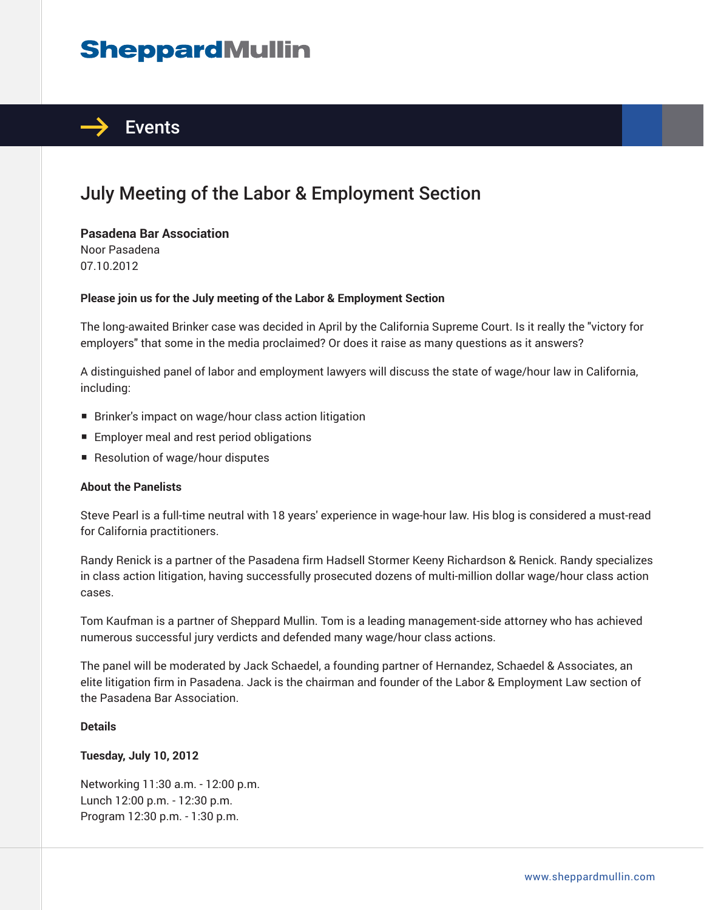# **SheppardMullin**



### July Meeting of the Labor & Employment Section

**Pasadena Bar Association** Noor Pasadena 07.10.2012

#### **Please join us for the July meeting of the Labor & Employment Section**

The long-awaited Brinker case was decided in April by the California Supreme Court. Is it really the "victory for employers" that some in the media proclaimed? Or does it raise as many questions as it answers?

A distinguished panel of labor and employment lawyers will discuss the state of wage/hour law in California, including:

- Brinker's impact on wage/hour class action litigation
- Employer meal and rest period obligations
- Resolution of wage/hour disputes

#### **About the Panelists**

Steve Pearl is a full-time neutral with 18 years' experience in wage-hour law. His blog is considered a must-read for California practitioners.

Randy Renick is a partner of the Pasadena firm Hadsell Stormer Keeny Richardson & Renick. Randy specializes in class action litigation, having successfully prosecuted dozens of multi-million dollar wage/hour class action cases.

Tom Kaufman is a partner of Sheppard Mullin. Tom is a leading management-side attorney who has achieved numerous successful jury verdicts and defended many wage/hour class actions.

The panel will be moderated by Jack Schaedel, a founding partner of Hernandez, Schaedel & Associates, an elite litigation firm in Pasadena. Jack is the chairman and founder of the Labor & Employment Law section of the Pasadena Bar Association.

#### **Details**

#### **Tuesday, July 10, 2012**

Networking 11:30 a.m. - 12:00 p.m. Lunch 12:00 p.m. - 12:30 p.m. Program 12:30 p.m. - 1:30 p.m.